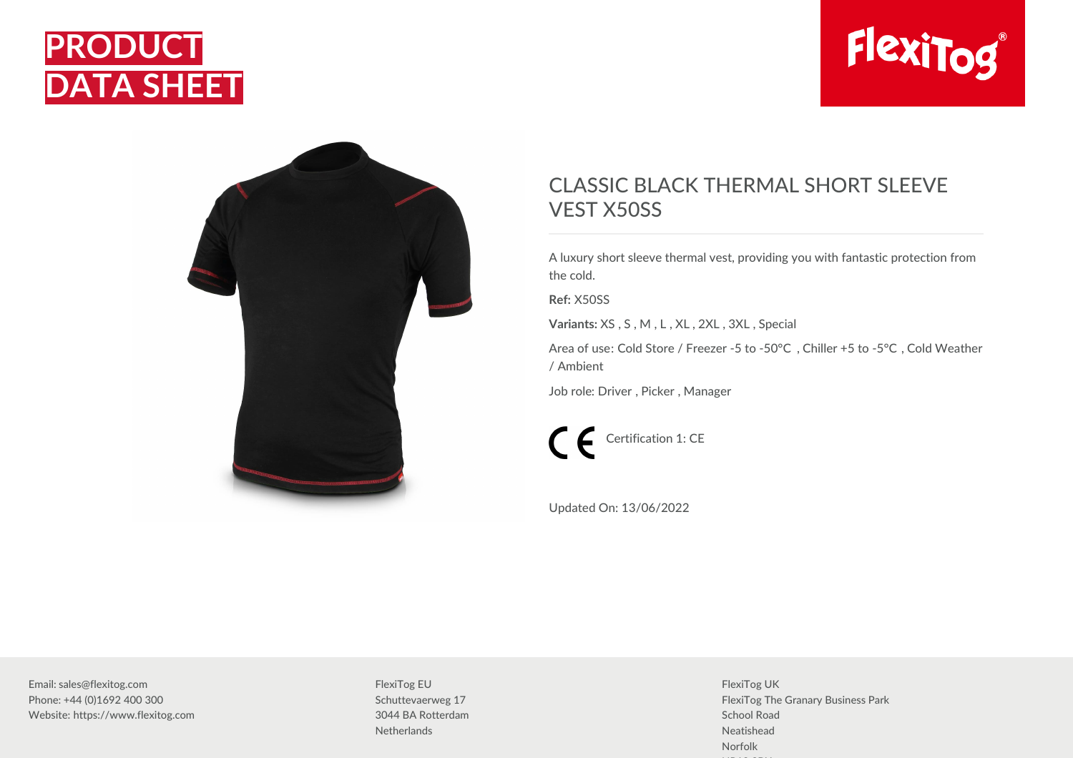





## CLASSIC BLACK THERMAL SHORT SLEEVE VEST X50SS

A luxury short sleeve thermal vest, providing you with fantastic protection from the cold.

**Ref:** X50SS

**Variants:** XS , S , M , L , XL , 2XL , 3XL , Special

Area of use: Cold Store / Freezer -5 to -50°C , Chiller +5 to -5°C , Cold Weather / Ambient

Job role: Driver , Picker , Manager

Certification 1: CE

Updated On: 13/06/2022

Email: sales@flexitog.com Phone: +44 (0)1692 400 300 Website: https://www.flexitog.com FlexiTog EU Schuttevaerweg 17 3044 BA Rotterdam **Netherlands** 

FlexiTog UK FlexiTog The Granary Business Park School Road Neatishead Norfolk